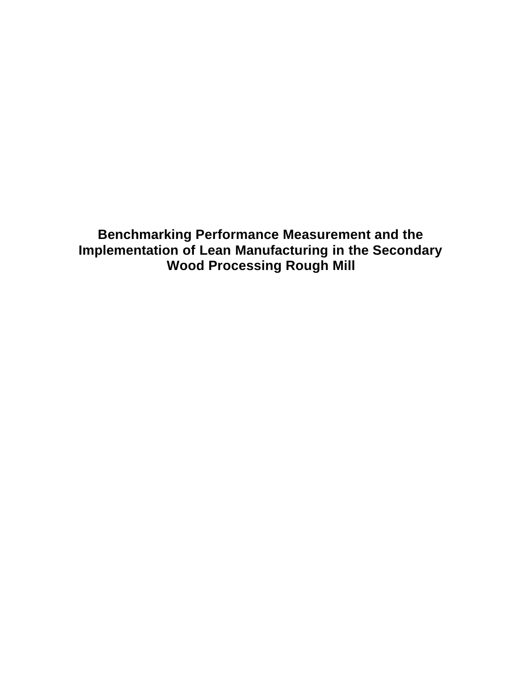**Benchmarking Performance Measurement and the Implementation of Lean Manufacturing in the Secondary Wood Processing Rough Mill**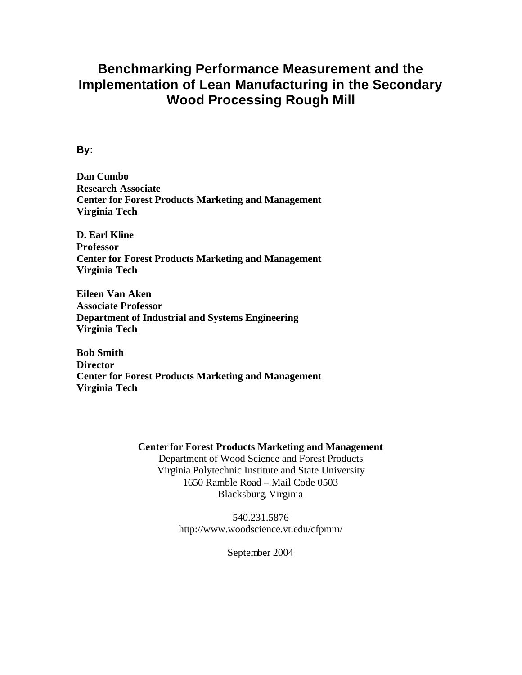## **Benchmarking Performance Measurement and the Implementation of Lean Manufacturing in the Secondary Wood Processing Rough Mill**

### **By:**

**Dan Cumbo Research Associate Center for Forest Products Marketing and Management Virginia Tech**

**D. Earl Kline Professor Center for Forest Products Marketing and Management Virginia Tech**

**Eileen Van Aken Associate Professor Department of Industrial and Systems Engineering Virginia Tech**

**Bob Smith Director Center for Forest Products Marketing and Management Virginia Tech**

#### **Center for Forest Products Marketing and Management**

Department of Wood Science and Forest Products Virginia Polytechnic Institute and State University 1650 Ramble Road – Mail Code 0503 Blacksburg, Virginia

> 540.231.5876 http://www.woodscience.vt.edu/cfpmm/

> > September 2004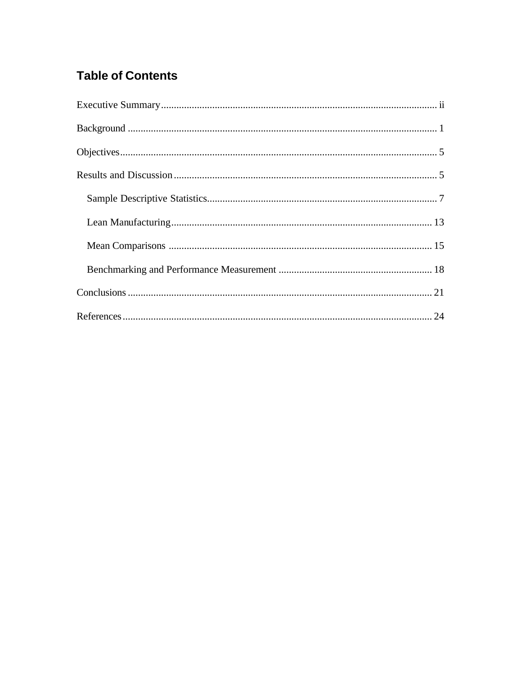# **Table of Contents**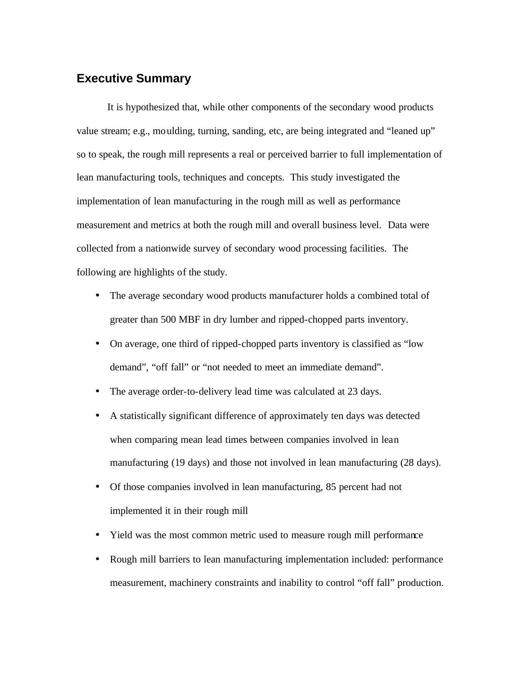## **Executive Summary**

It is hypothesized that, while other components of the secondary wood products value stream; e.g., moulding, turning, sanding, etc, are being integrated and "leaned up" so to speak, the rough mill represents a real or perceived barrier to full implementation of lean manufacturing tools, techniques and concepts. This study investigated the implementation of lean manufacturing in the rough mill as well as performance measurement and metrics at both the rough mill and overall business level. Data were collected from a nationwide survey of secondary wood processing facilities. The following are highlights of the study.

- The average secondary wood products manufacturer holds a combined total of greater than 500 MBF in dry lumber and ripped-chopped parts inventory.
- On average, one third of ripped-chopped parts inventory is classified as "low demand", "off fall" or "not needed to meet an immediate demand".
- The average order-to-delivery lead time was calculated at 23 days.
- A statistically significant difference of approximately ten days was detected when comparing mean lead times between companies involved in lean manufacturing (19 days) and those not involved in lean manufacturing (28 days).
- Of those companies involved in lean manufacturing, 85 percent had not implemented it in their rough mill
- Yield was the most common metric used to measure rough mill performance
- Rough mill barriers to lean manufacturing implementation included: performance measurement, machinery constraints and inability to control "off fall" production.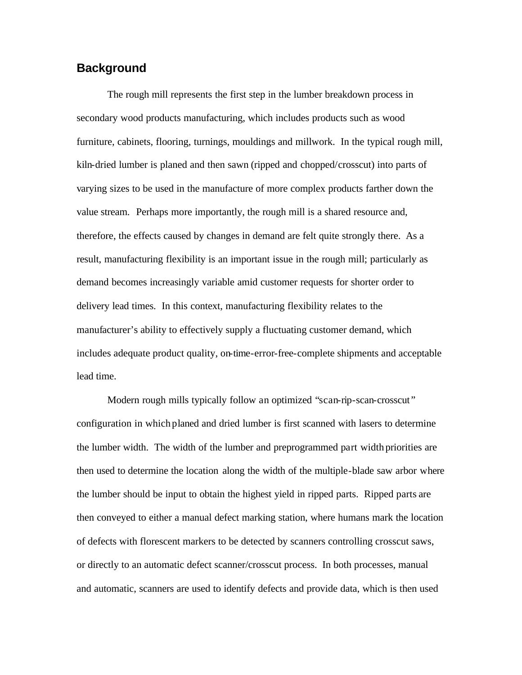#### **Background**

The rough mill represents the first step in the lumber breakdown process in secondary wood products manufacturing, which includes products such as wood furniture, cabinets, flooring, turnings, mouldings and millwork. In the typical rough mill, kiln-dried lumber is planed and then sawn (ripped and chopped/crosscut) into parts of varying sizes to be used in the manufacture of more complex products farther down the value stream. Perhaps more importantly, the rough mill is a shared resource and, therefore, the effects caused by changes in demand are felt quite strongly there. As a result, manufacturing flexibility is an important issue in the rough mill; particularly as demand becomes increasingly variable amid customer requests for shorter order to delivery lead times. In this context, manufacturing flexibility relates to the manufacturer's ability to effectively supply a fluctuating customer demand, which includes adequate product quality, on-time-error-free-complete shipments and acceptable lead time.

Modern rough mills typically follow an optimized "scan-rip-scan-crosscut" configuration in which planed and dried lumber is first scanned with lasers to determine the lumber width. The width of the lumber and preprogrammed part width priorities are then used to determine the location along the width of the multiple-blade saw arbor where the lumber should be input to obtain the highest yield in ripped parts. Ripped parts are then conveyed to either a manual defect marking station, where humans mark the location of defects with florescent markers to be detected by scanners controlling crosscut saws, or directly to an automatic defect scanner/crosscut process. In both processes, manual and automatic, scanners are used to identify defects and provide data, which is then used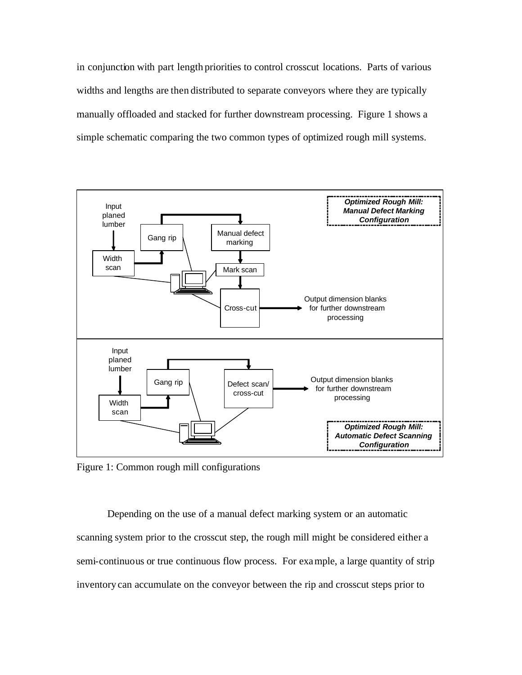in conjunction with part length priorities to control crosscut locations. Parts of various widths and lengths are then distributed to separate conveyors where they are typically manually offloaded and stacked for further downstream processing. Figure 1 shows a simple schematic comparing the two common types of optimized rough mill systems.



Figure 1: Common rough mill configurations

Depending on the use of a manual defect marking system or an automatic scanning system prior to the crosscut step, the rough mill might be considered either a semi-continuous or true continuous flow process. For example, a large quantity of strip inventory can accumulate on the conveyor between the rip and crosscut steps prior to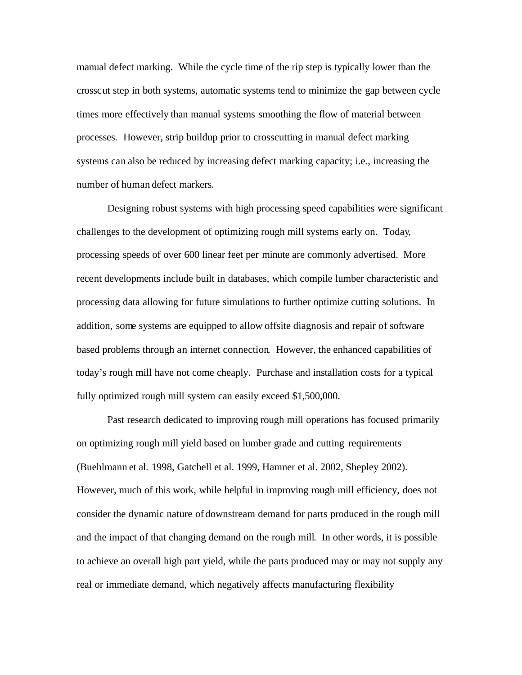manual defect marking. While the cycle time of the rip step is typically lower than the crosscut step in both systems, automatic systems tend to minimize the gap between cycle times more effectively than manual systems smoothing the flow of material between processes. However, strip buildup prior to crosscutting in manual defect marking systems can also be reduced by increasing defect marking capacity; i.e., increasing the number of human defect markers.

Designing robust systems with high processing speed capabilities were significant challenges to the development of optimizing rough mill systems early on. Today, processing speeds of over 600 linear feet per minute are commonly advertised. More recent developments include built in databases, which compile lumber characteristic and processing data allowing for future simulations to further optimize cutting solutions. In addition, some systems are equipped to allow offsite diagnosis and repair of software based problems through an internet connection. However, the enhanced capabilities of today's rough mill have not come cheaply. Purchase and installation costs for a typical fully optimized rough mill system can easily exceed \$1,500,000.

Past research dedicated to improving rough mill operations has focused primarily on optimizing rough mill yield based on lumber grade and cutting requirements (Buehlmann et al. 1998, Gatchell et al. 1999, Hamner et al. 2002, Shepley 2002). However, much of this work, while helpful in improving rough mill efficiency, does not consider the dynamic nature of downstream demand for parts produced in the rough mill and the impact of that changing demand on the rough mill. In other words, it is possible to achieve an overall high part yield, while the parts produced may or may not supply any real or immediate demand, which negatively affects manufacturing flexibility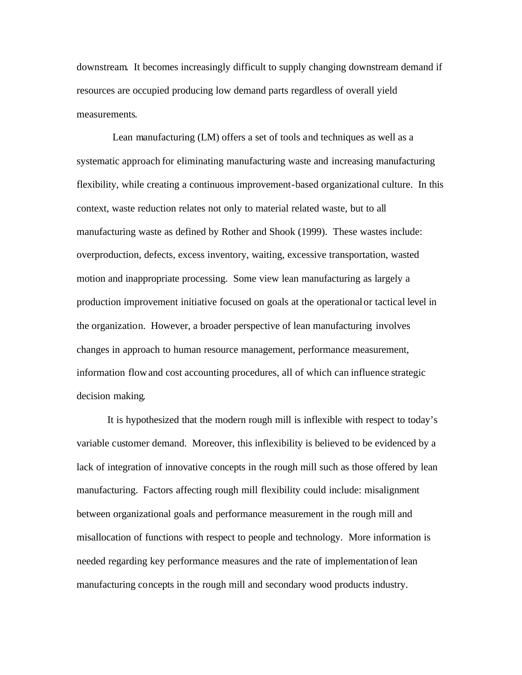downstream. It becomes increasingly difficult to supply changing downstream demand if resources are occupied producing low demand parts regardless of overall yield measurements.

 Lean manufacturing (LM) offers a set of tools and techniques as well as a systematic approach for eliminating manufacturing waste and increasing manufacturing flexibility, while creating a continuous improvement-based organizational culture. In this context, waste reduction relates not only to material related waste, but to all manufacturing waste as defined by Rother and Shook (1999). These wastes include: overproduction, defects, excess inventory, waiting, excessive transportation, wasted motion and inappropriate processing. Some view lean manufacturing as largely a production improvement initiative focused on goals at the operational or tactical level in the organization. However, a broader perspective of lean manufacturing involves changes in approach to human resource management, performance measurement, information flow and cost accounting procedures, all of which can influence strategic decision making.

It is hypothesized that the modern rough mill is inflexible with respect to today's variable customer demand. Moreover, this inflexibility is believed to be evidenced by a lack of integration of innovative concepts in the rough mill such as those offered by lean manufacturing. Factors affecting rough mill flexibility could include: misalignment between organizational goals and performance measurement in the rough mill and misallocation of functions with respect to people and technology. More information is needed regarding key performance measures and the rate of implementation of lean manufacturing concepts in the rough mill and secondary wood products industry.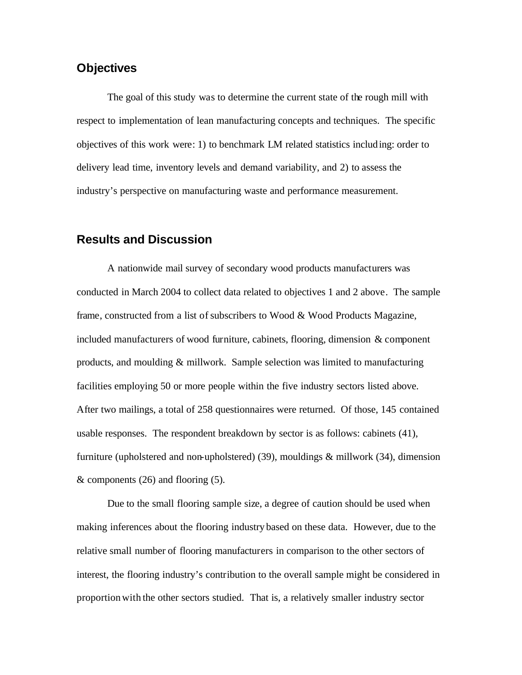## **Objectives**

 The goal of this study was to determine the current state of the rough mill with respect to implementation of lean manufacturing concepts and techniques. The specific objectives of this work were: 1) to benchmark LM related statistics including: order to delivery lead time, inventory levels and demand variability, and 2) to assess the industry's perspective on manufacturing waste and performance measurement.

### **Results and Discussion**

A nationwide mail survey of secondary wood products manufacturers was conducted in March 2004 to collect data related to objectives 1 and 2 above. The sample frame, constructed from a list of subscribers to Wood  $\&$  Wood Products Magazine, included manufacturers of wood furniture, cabinets, flooring, dimension & component products, and moulding & millwork. Sample selection was limited to manufacturing facilities employing 50 or more people within the five industry sectors listed above. After two mailings, a total of 258 questionnaires were returned. Of those, 145 contained usable responses. The respondent breakdown by sector is as follows: cabinets (41), furniture (upholstered and non-upholstered) (39), mouldings  $\&$  millwork (34), dimension & components (26) and flooring (5).

Due to the small flooring sample size, a degree of caution should be used when making inferences about the flooring industry based on these data. However, due to the relative small number of flooring manufacturers in comparison to the other sectors of interest, the flooring industry's contribution to the overall sample might be considered in proportion with the other sectors studied. That is, a relatively smaller industry sector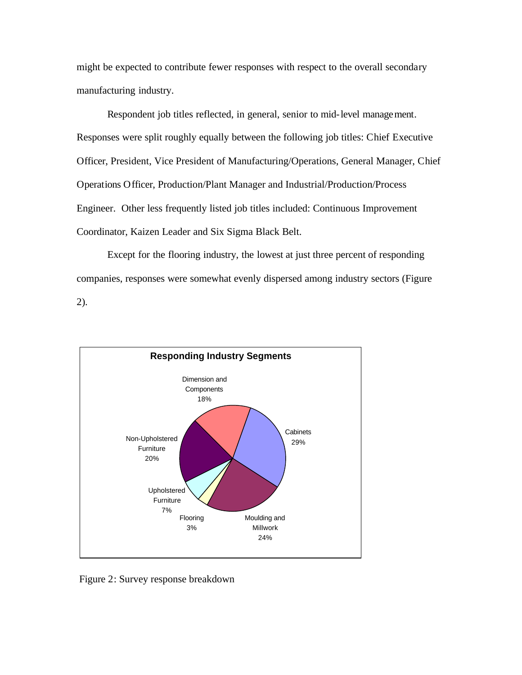might be expected to contribute fewer responses with respect to the overall secondary manufacturing industry.

Respondent job titles reflected, in general, senior to mid-level management. Responses were split roughly equally between the following job titles: Chief Executive Officer, President, Vice President of Manufacturing/Operations, General Manager, Chief Operations Officer, Production/Plant Manager and Industrial/Production/Process Engineer. Other less frequently listed job titles included: Continuous Improvement Coordinator, Kaizen Leader and Six Sigma Black Belt.

Except for the flooring industry, the lowest at just three percent of responding companies, responses were somewhat evenly dispersed among industry sectors (Figure 2).



Figure 2: Survey response breakdown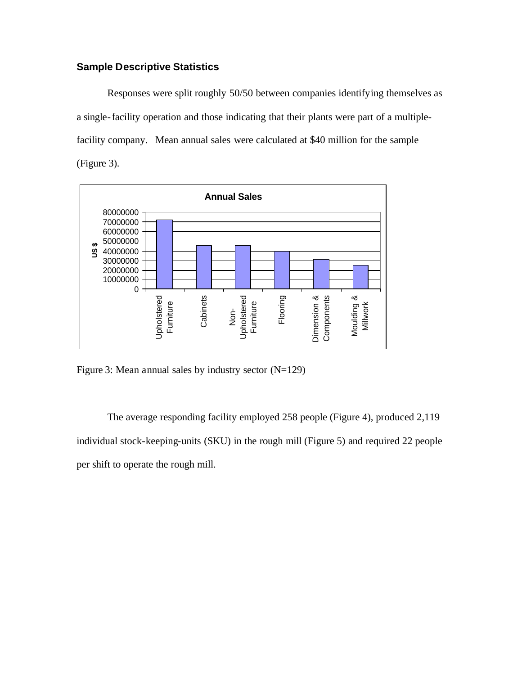## **Sample Descriptive Statistics**

Responses were split roughly 50/50 between companies identifying themselves as a single-facility operation and those indicating that their plants were part of a multiplefacility company. Mean annual sales were calculated at \$40 million for the sample (Figure 3).



Figure 3: Mean annual sales by industry sector (N=129)

The average responding facility employed 258 people (Figure 4), produced 2,119 individual stock-keeping-units (SKU) in the rough mill (Figure 5) and required 22 people per shift to operate the rough mill.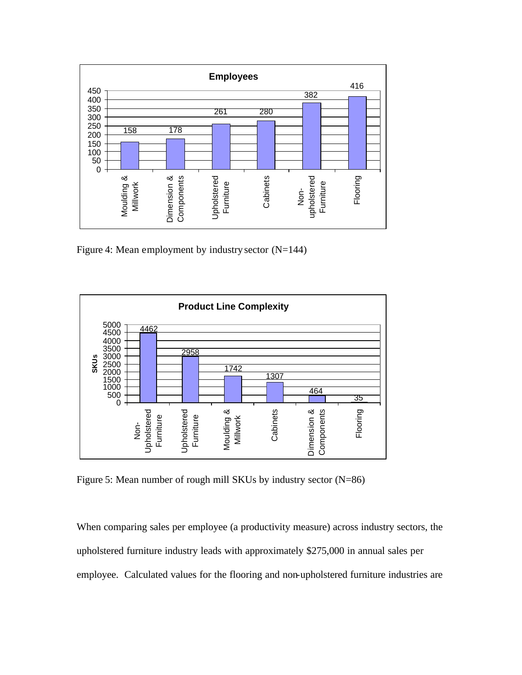

Figure 4: Mean employment by industry sector  $(N=144)$ 



Figure 5: Mean number of rough mill SKUs by industry sector (N=86)

When comparing sales per employee (a productivity measure) across industry sectors, the upholstered furniture industry leads with approximately \$275,000 in annual sales per employee. Calculated values for the flooring and non-upholstered furniture industries are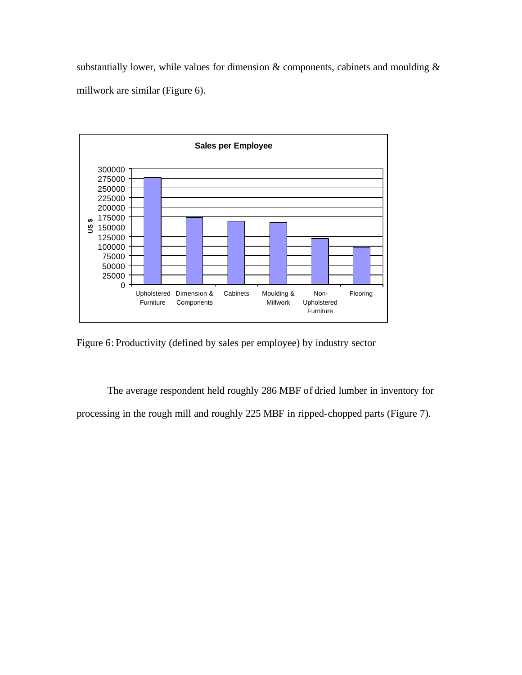substantially lower, while values for dimension  $\&$  components, cabinets and moulding  $\&$ millwork are similar (Figure 6).



Figure 6: Productivity (defined by sales per employee) by industry sector

The average respondent held roughly 286 MBF of dried lumber in inventory for processing in the rough mill and roughly 225 MBF in ripped-chopped parts (Figure 7).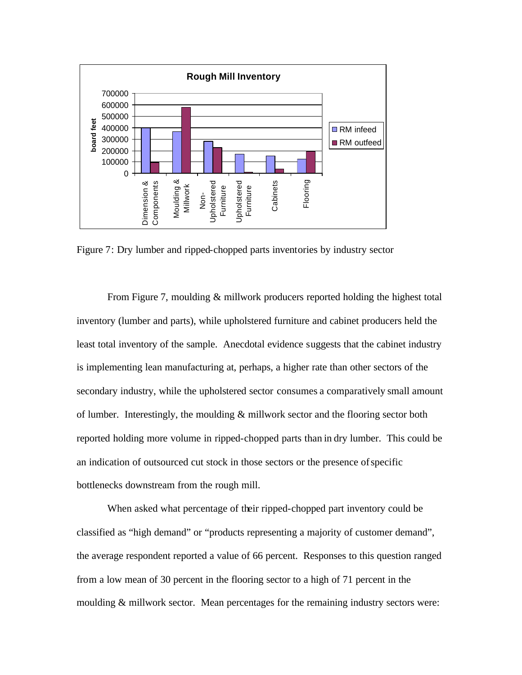

Figure 7: Dry lumber and ripped-chopped parts inventories by industry sector

From Figure 7, moulding & millwork producers reported holding the highest total inventory (lumber and parts), while upholstered furniture and cabinet producers held the least total inventory of the sample. Anecdotal evidence suggests that the cabinet industry is implementing lean manufacturing at, perhaps, a higher rate than other sectors of the secondary industry, while the upholstered sector consumes a comparatively small amount of lumber. Interestingly, the moulding & millwork sector and the flooring sector both reported holding more volume in ripped-chopped parts than in dry lumber. This could be an indication of outsourced cut stock in those sectors or the presence of specific bottlenecks downstream from the rough mill.

When asked what percentage of their ripped-chopped part inventory could be classified as "high demand" or "products representing a majority of customer demand", the average respondent reported a value of 66 percent. Responses to this question ranged from a low mean of 30 percent in the flooring sector to a high of 71 percent in the moulding & millwork sector. Mean percentages for the remaining industry sectors were: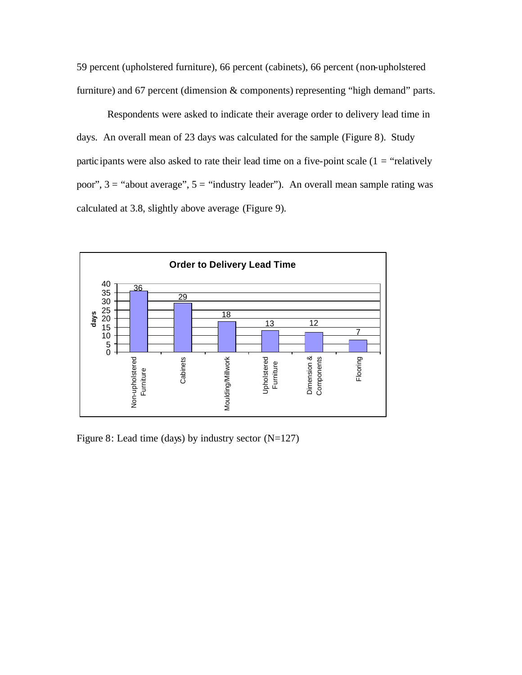59 percent (upholstered furniture), 66 percent (cabinets), 66 percent (non-upholstered furniture) and 67 percent (dimension & components) representing "high demand" parts.

Respondents were asked to indicate their average order to delivery lead time in days. An overall mean of 23 days was calculated for the sample (Figure 8). Study participants were also asked to rate their lead time on a five-point scale  $(1 = "relatively$ poor",  $3 =$  "about average",  $5 =$  "industry leader"). An overall mean sample rating was calculated at 3.8, slightly above average (Figure 9).



Figure 8: Lead time (days) by industry sector  $(N=127)$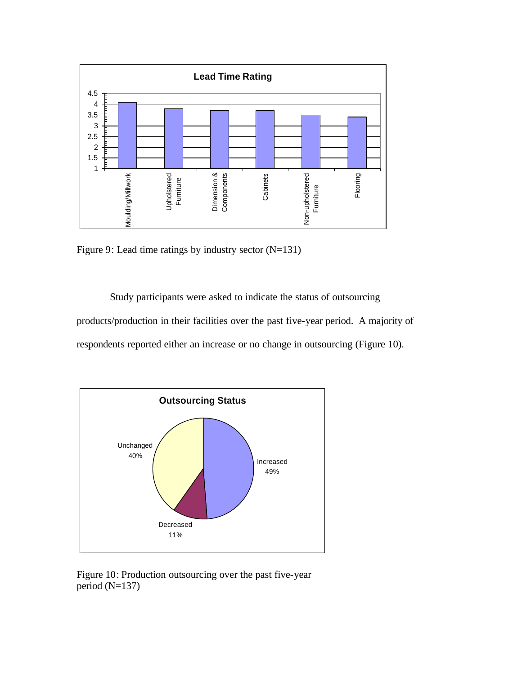

Figure 9: Lead time ratings by industry sector (N=131)

Study participants were asked to indicate the status of outsourcing products/production in their facilities over the past five-year period. A majority of respondents reported either an increase or no change in outsourcing (Figure 10).



Figure 10: Production outsourcing over the past five-year period (N=137)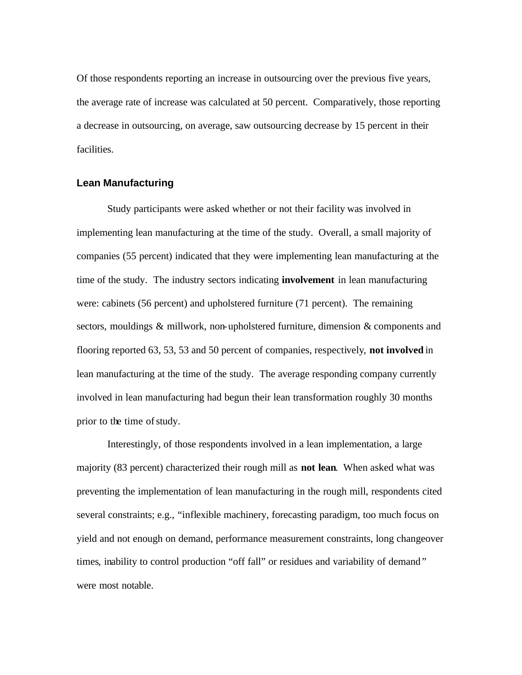Of those respondents reporting an increase in outsourcing over the previous five years, the average rate of increase was calculated at 50 percent. Comparatively, those reporting a decrease in outsourcing, on average, saw outsourcing decrease by 15 percent in their facilities.

#### **Lean Manufacturing**

Study participants were asked whether or not their facility was involved in implementing lean manufacturing at the time of the study. Overall, a small majority of companies (55 percent) indicated that they were implementing lean manufacturing at the time of the study. The industry sectors indicating **involvement** in lean manufacturing were: cabinets (56 percent) and upholstered furniture (71 percent). The remaining sectors, mouldings & millwork, non-upholstered furniture, dimension & components and flooring reported 63, 53, 53 and 50 percent of companies, respectively, **not involved** in lean manufacturing at the time of the study. The average responding company currently involved in lean manufacturing had begun their lean transformation roughly 30 months prior to the time of study.

Interestingly, of those respondents involved in a lean implementation, a large majority (83 percent) characterized their rough mill as **not lean**. When asked what was preventing the implementation of lean manufacturing in the rough mill, respondents cited several constraints; e.g., "inflexible machinery, forecasting paradigm, too much focus on yield and not enough on demand, performance measurement constraints, long changeover times, inability to control production "off fall" or residues and variability of demand" were most notable.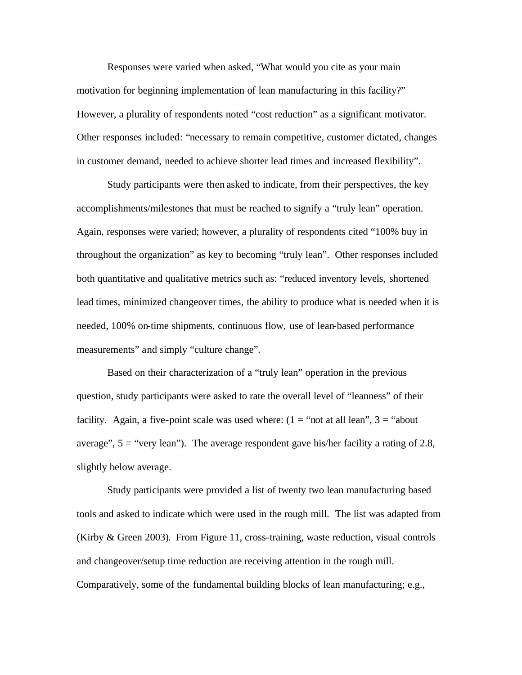Responses were varied when asked, "What would you cite as your main motivation for beginning implementation of lean manufacturing in this facility?" However, a plurality of respondents noted "cost reduction" as a significant motivator. Other responses included: "necessary to remain competitive, customer dictated, changes in customer demand, needed to achieve shorter lead times and increased flexibility".

Study participants were then asked to indicate, from their perspectives, the key accomplishments/milestones that must be reached to signify a "truly lean" operation. Again, responses were varied; however, a plurality of respondents cited "100% buy in throughout the organization" as key to becoming "truly lean". Other responses included both quantitative and qualitative metrics such as: "reduced inventory levels, shortened lead times, minimized changeover times, the ability to produce what is needed when it is needed, 100% on-time shipments, continuous flow, use of lean-based performance measurements" and simply "culture change".

Based on their characterization of a "truly lean" operation in the previous question, study participants were asked to rate the overall level of "leanness" of their facility. Again, a five-point scale was used where:  $(1 = "not at all lean", 3 = "about"$ average",  $5 =$  "very lean"). The average respondent gave his/her facility a rating of 2.8, slightly below average.

Study participants were provided a list of twenty two lean manufacturing based tools and asked to indicate which were used in the rough mill. The list was adapted from (Kirby & Green 2003). From Figure 11, cross-training, waste reduction, visual controls and changeover/setup time reduction are receiving attention in the rough mill. Comparatively, some of the fundamental building blocks of lean manufacturing; e.g.,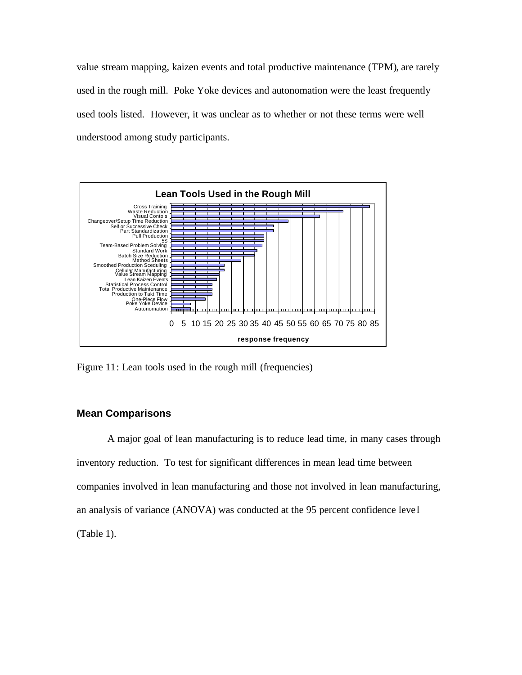value stream mapping, kaizen events and total productive maintenance (TPM), are rarely used in the rough mill. Poke Yoke devices and autonomation were the least frequently used tools listed. However, it was unclear as to whether or not these terms were well understood among study participants.



Figure 11: Lean tools used in the rough mill (frequencies)

#### **Mean Comparisons**

A major goal of lean manufacturing is to reduce lead time, in many cases through inventory reduction. To test for significant differences in mean lead time between companies involved in lean manufacturing and those not involved in lean manufacturing, an analysis of variance (ANOVA) was conducted at the 95 percent confidence leve l (Table 1).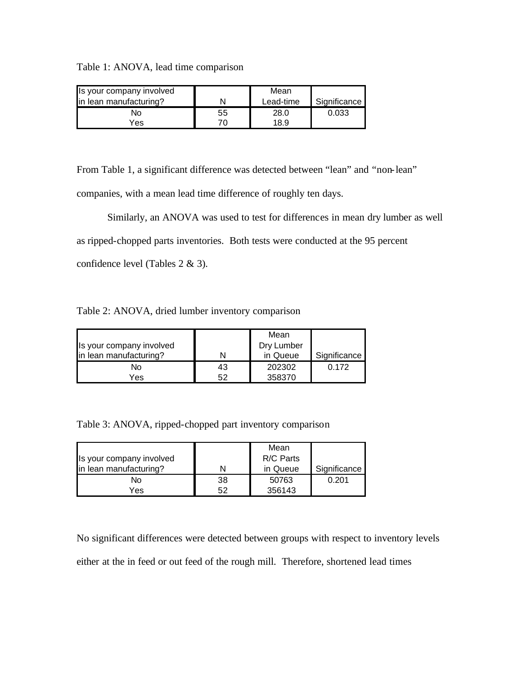Table 1: ANOVA, lead time comparison

| Is your company involved |    | Mean      |              |
|--------------------------|----|-----------|--------------|
| lin lean manufacturing?  |    | Lead-time | Significance |
| N۵                       | 55 | 28.0      | 0.033        |
| Yes                      |    | 18.9      |              |

From Table 1, a significant difference was detected between "lean" and "non-lean" companies, with a mean lead time difference of roughly ten days.

Similarly, an ANOVA was used to test for differences in mean dry lumber as well as ripped-chopped parts inventories. Both tests were conducted at the 95 percent confidence level (Tables 2 & 3).

Table 2: ANOVA, dried lumber inventory comparison

|                          |    | Mean       |              |
|--------------------------|----|------------|--------------|
| Is your company involved |    | Dry Lumber |              |
| in lean manufacturing?   |    | in Queue   | Significance |
| N٥                       | 43 | 202302     | 0.172        |
| Yes                      | 52 | 358370     |              |

Table 3: ANOVA, ripped-chopped part inventory comparison

|                          |    | Mean      |              |
|--------------------------|----|-----------|--------------|
| Is your company involved |    | R/C Parts |              |
| in lean manufacturing?   |    | in Queue  | Significance |
| N٥                       | 38 | 50763     | 0.201        |
| Yes.                     | 52 | 356143    |              |

No significant differences were detected between groups with respect to inventory levels either at the in feed or out feed of the rough mill. Therefore, shortened lead times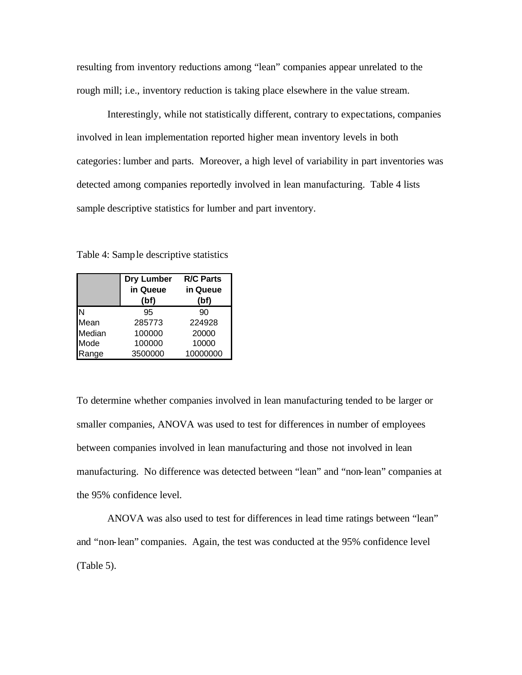resulting from inventory reductions among "lean" companies appear unrelated to the rough mill; i.e., inventory reduction is taking place elsewhere in the value stream.

Interestingly, while not statistically different, contrary to expectations, companies involved in lean implementation reported higher mean inventory levels in both categories: lumber and parts. Moreover, a high level of variability in part inventories was detected among companies reportedly involved in lean manufacturing. Table 4 lists sample descriptive statistics for lumber and part inventory.

Table 4: Sample descriptive statistics

|        | Dry Lumber<br>in Queue<br>(bf) | <b>R/C Parts</b><br>in Queue<br>(bf) |
|--------|--------------------------------|--------------------------------------|
| N      | 95                             | 90                                   |
| Mean   | 285773                         | 224928                               |
| Median | 100000                         | 20000                                |
| Mode   | 100000                         | 10000                                |
| Range  | 3500000                        | 10000000                             |

To determine whether companies involved in lean manufacturing tended to be larger or smaller companies, ANOVA was used to test for differences in number of employees between companies involved in lean manufacturing and those not involved in lean manufacturing. No difference was detected between "lean" and "non-lean" companies at the 95% confidence level.

ANOVA was also used to test for differences in lead time ratings between "lean" and "non-lean" companies. Again, the test was conducted at the 95% confidence level (Table 5).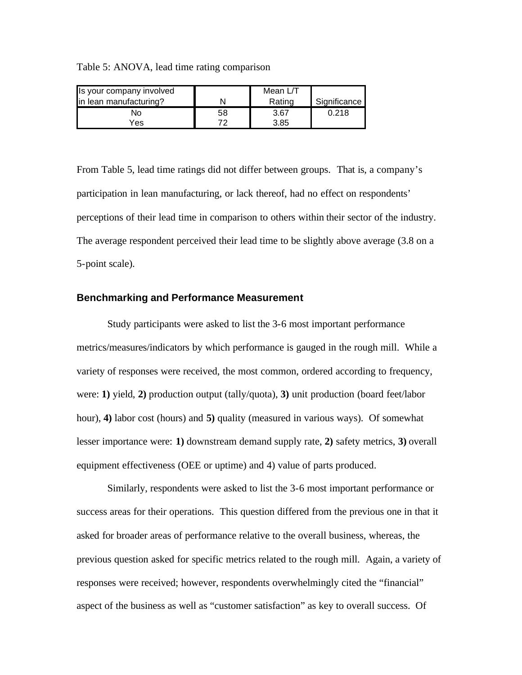Table 5: ANOVA, lead time rating comparison

| Is your company involved |    | Mean L/T |              |
|--------------------------|----|----------|--------------|
| in lean manufacturing?   |    | Rating   | Significance |
| N٥                       | 58 | 3.67     | 0.218        |
| Yes                      |    | 3.85     |              |

From Table 5, lead time ratings did not differ between groups. That is, a company's participation in lean manufacturing, or lack thereof, had no effect on respondents' perceptions of their lead time in comparison to others within their sector of the industry. The average respondent perceived their lead time to be slightly above average (3.8 on a 5-point scale).

#### **Benchmarking and Performance Measurement**

Study participants were asked to list the 3-6 most important performance metrics/measures/indicators by which performance is gauged in the rough mill. While a variety of responses were received, the most common, ordered according to frequency, were: **1)** yield, **2)** production output (tally/quota), **3)** unit production (board feet/labor hour), **4)** labor cost (hours) and **5)** quality (measured in various ways). Of somewhat lesser importance were: **1)** downstream demand supply rate, **2)** safety metrics, **3)** overall equipment effectiveness (OEE or uptime) and 4) value of parts produced.

Similarly, respondents were asked to list the 3-6 most important performance or success areas for their operations. This question differed from the previous one in that it asked for broader areas of performance relative to the overall business, whereas, the previous question asked for specific metrics related to the rough mill. Again, a variety of responses were received; however, respondents overwhelmingly cited the "financial" aspect of the business as well as "customer satisfaction" as key to overall success. Of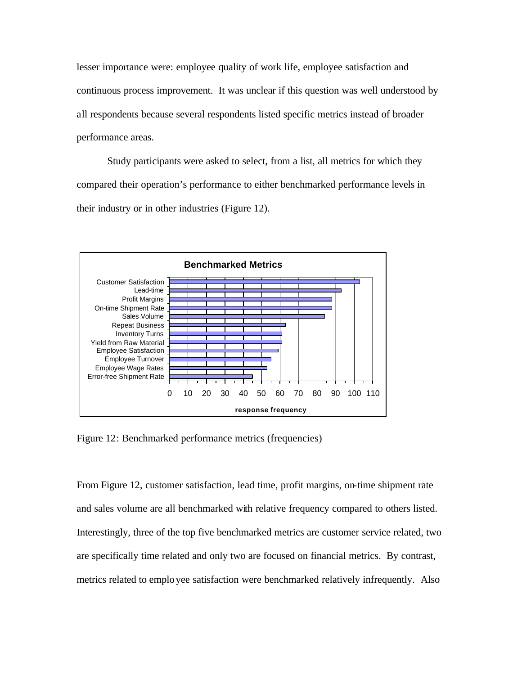lesser importance were: employee quality of work life, employee satisfaction and continuous process improvement. It was unclear if this question was well understood by all respondents because several respondents listed specific metrics instead of broader performance areas.

Study participants were asked to select, from a list, all metrics for which they compared their operation's performance to either benchmarked performance levels in their industry or in other industries (Figure 12).



Figure 12: Benchmarked performance metrics (frequencies)

From Figure 12, customer satisfaction, lead time, profit margins, on-time shipment rate and sales volume are all benchmarked with relative frequency compared to others listed. Interestingly, three of the top five benchmarked metrics are customer service related, two are specifically time related and only two are focused on financial metrics. By contrast, metrics related to employee satisfaction were benchmarked relatively infrequently. Also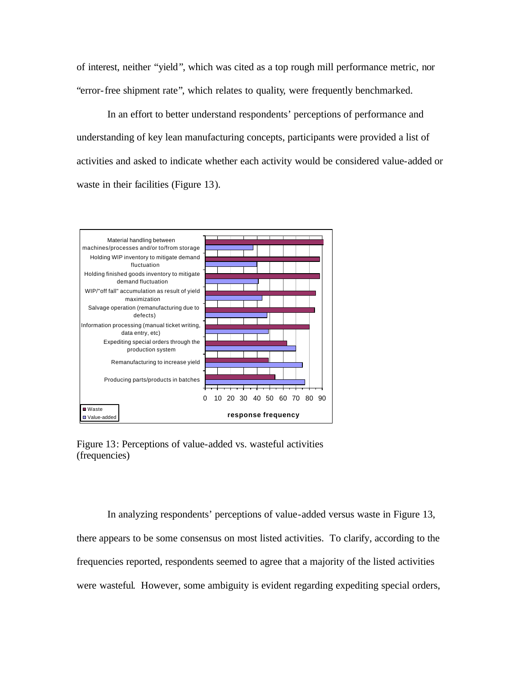of interest, neither "yield", which was cited as a top rough mill performance metric, nor "error-free shipment rate", which relates to quality, were frequently benchmarked.

In an effort to better understand respondents' perceptions of performance and understanding of key lean manufacturing concepts, participants were provided a list of activities and asked to indicate whether each activity would be considered value-added or waste in their facilities (Figure 13).



Figure 13: Perceptions of value-added vs. wasteful activities (frequencies)

In analyzing respondents' perceptions of value-added versus waste in Figure 13, there appears to be some consensus on most listed activities. To clarify, according to the frequencies reported, respondents seemed to agree that a majority of the listed activities were wasteful. However, some ambiguity is evident regarding expediting special orders,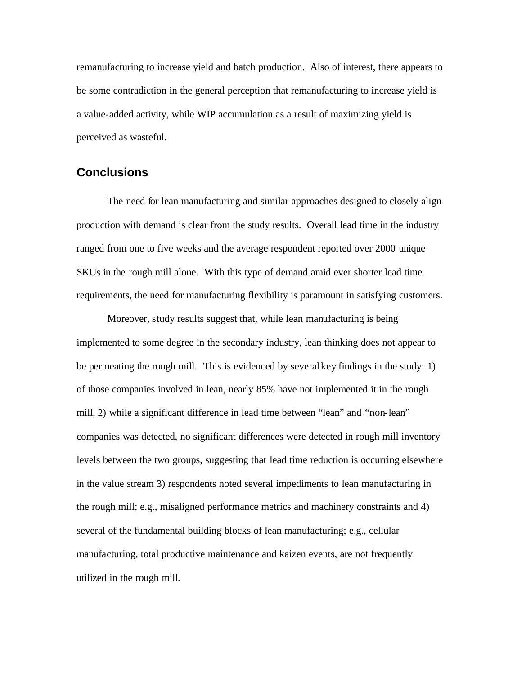remanufacturing to increase yield and batch production. Also of interest, there appears to be some contradiction in the general perception that remanufacturing to increase yield is a value-added activity, while WIP accumulation as a result of maximizing yield is perceived as wasteful.

### **Conclusions**

The need for lean manufacturing and similar approaches designed to closely align production with demand is clear from the study results. Overall lead time in the industry ranged from one to five weeks and the average respondent reported over 2000 unique SKUs in the rough mill alone. With this type of demand amid ever shorter lead time requirements, the need for manufacturing flexibility is paramount in satisfying customers.

Moreover, study results suggest that, while lean manufacturing is being implemented to some degree in the secondary industry, lean thinking does not appear to be permeating the rough mill. This is evidenced by several key findings in the study: 1) of those companies involved in lean, nearly 85% have not implemented it in the rough mill, 2) while a significant difference in lead time between "lean" and "non-lean" companies was detected, no significant differences were detected in rough mill inventory levels between the two groups, suggesting that lead time reduction is occurring elsewhere in the value stream 3) respondents noted several impediments to lean manufacturing in the rough mill; e.g., misaligned performance metrics and machinery constraints and 4) several of the fundamental building blocks of lean manufacturing; e.g., cellular manufacturing, total productive maintenance and kaizen events, are not frequently utilized in the rough mill.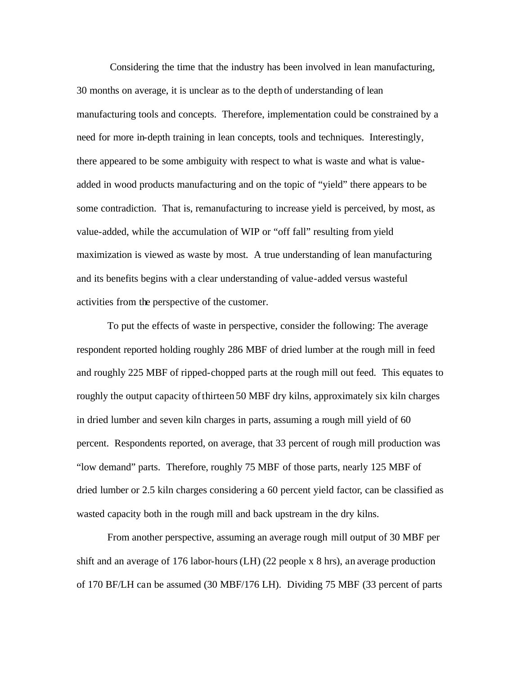Considering the time that the industry has been involved in lean manufacturing, 30 months on average, it is unclear as to the depth of understanding of lean manufacturing tools and concepts. Therefore, implementation could be constrained by a need for more in-depth training in lean concepts, tools and techniques. Interestingly, there appeared to be some ambiguity with respect to what is waste and what is valueadded in wood products manufacturing and on the topic of "yield" there appears to be some contradiction. That is, remanufacturing to increase yield is perceived, by most, as value-added, while the accumulation of WIP or "off fall" resulting from yield maximization is viewed as waste by most. A true understanding of lean manufacturing and its benefits begins with a clear understanding of value-added versus wasteful activities from the perspective of the customer.

To put the effects of waste in perspective, consider the following: The average respondent reported holding roughly 286 MBF of dried lumber at the rough mill in feed and roughly 225 MBF of ripped-chopped parts at the rough mill out feed. This equates to roughly the output capacity ofthirteen 50 MBF dry kilns, approximately six kiln charges in dried lumber and seven kiln charges in parts, assuming a rough mill yield of 60 percent. Respondents reported, on average, that 33 percent of rough mill production was "low demand" parts. Therefore, roughly 75 MBF of those parts, nearly 125 MBF of dried lumber or 2.5 kiln charges considering a 60 percent yield factor, can be classified as wasted capacity both in the rough mill and back upstream in the dry kilns.

From another perspective, assuming an average rough mill output of 30 MBF per shift and an average of 176 labor-hours (LH) (22 people x 8 hrs), an average production of 170 BF/LH can be assumed (30 MBF/176 LH). Dividing 75 MBF (33 percent of parts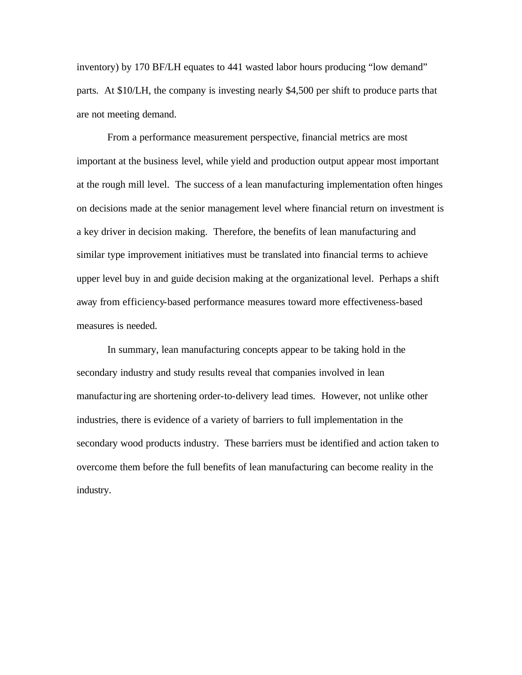inventory) by 170 BF/LH equates to 441 wasted labor hours producing "low demand" parts. At \$10/LH, the company is investing nearly \$4,500 per shift to produce parts that are not meeting demand.

From a performance measurement perspective, financial metrics are most important at the business level, while yield and production output appear most important at the rough mill level. The success of a lean manufacturing implementation often hinges on decisions made at the senior management level where financial return on investment is a key driver in decision making. Therefore, the benefits of lean manufacturing and similar type improvement initiatives must be translated into financial terms to achieve upper level buy in and guide decision making at the organizational level. Perhaps a shift away from efficiency-based performance measures toward more effectiveness-based measures is needed.

In summary, lean manufacturing concepts appear to be taking hold in the secondary industry and study results reveal that companies involved in lean manufacturing are shortening order-to-delivery lead times. However, not unlike other industries, there is evidence of a variety of barriers to full implementation in the secondary wood products industry. These barriers must be identified and action taken to overcome them before the full benefits of lean manufacturing can become reality in the industry.